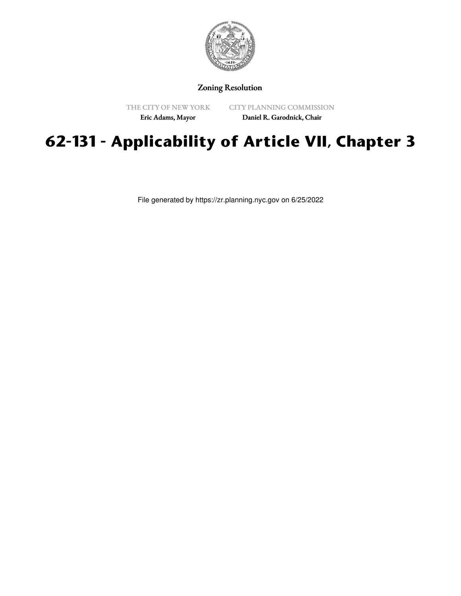

## Zoning Resolution

THE CITY OF NEW YORK Eric Adams, Mayor

CITY PLANNING COMMISSION

Daniel R. Garodnick, Chair

## **62-131 - Applicability of Article VII, Chapter 3**

File generated by https://zr.planning.nyc.gov on 6/25/2022